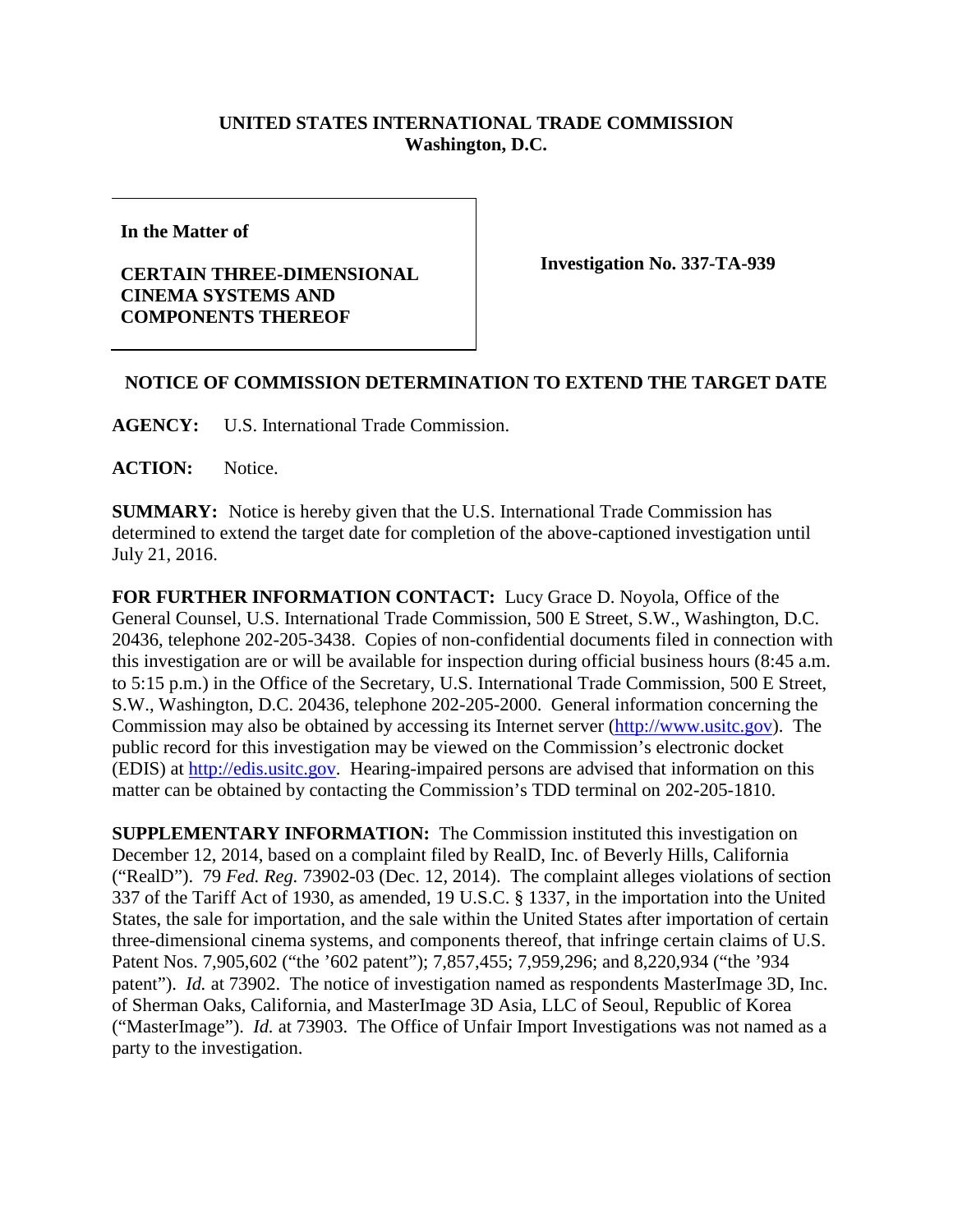## **UNITED STATES INTERNATIONAL TRADE COMMISSION Washington, D.C.**

**In the Matter of**

## **CERTAIN THREE-DIMENSIONAL CINEMA SYSTEMS AND COMPONENTS THEREOF**

**Investigation No. 337-TA-939**

## **NOTICE OF COMMISSION DETERMINATION TO EXTEND THE TARGET DATE**

**AGENCY:** U.S. International Trade Commission.

**ACTION:** Notice.

**SUMMARY:** Notice is hereby given that the U.S. International Trade Commission has determined to extend the target date for completion of the above-captioned investigation until July 21, 2016.

**FOR FURTHER INFORMATION CONTACT:** Lucy Grace D. Noyola, Office of the General Counsel, U.S. International Trade Commission, 500 E Street, S.W., Washington, D.C. 20436, telephone 202-205-3438. Copies of non-confidential documents filed in connection with this investigation are or will be available for inspection during official business hours (8:45 a.m. to 5:15 p.m.) in the Office of the Secretary, U.S. International Trade Commission, 500 E Street, S.W., Washington, D.C. 20436, telephone 202-205-2000. General information concerning the Commission may also be obtained by accessing its Internet server [\(http://www.usitc.gov\)](http://www.usitc.gov/). The public record for this investigation may be viewed on the Commission's electronic docket (EDIS) at [http://edis.usitc.gov.](http://edis.usitc.gov/) Hearing-impaired persons are advised that information on this matter can be obtained by contacting the Commission's TDD terminal on 202-205-1810.

**SUPPLEMENTARY INFORMATION:** The Commission instituted this investigation on December 12, 2014, based on a complaint filed by RealD, Inc. of Beverly Hills, California ("RealD"). 79 *Fed. Reg.* 73902-03 (Dec. 12, 2014). The complaint alleges violations of section 337 of the Tariff Act of 1930, as amended, 19 U.S.C. § 1337, in the importation into the United States, the sale for importation, and the sale within the United States after importation of certain three-dimensional cinema systems, and components thereof, that infringe certain claims of U.S. Patent Nos. 7,905,602 ("the '602 patent"); 7,857,455; 7,959,296; and 8,220,934 ("the '934 patent"). *Id.* at 73902. The notice of investigation named as respondents MasterImage 3D, Inc. of Sherman Oaks, California, and MasterImage 3D Asia, LLC of Seoul, Republic of Korea ("MasterImage"). *Id.* at 73903. The Office of Unfair Import Investigations was not named as a party to the investigation.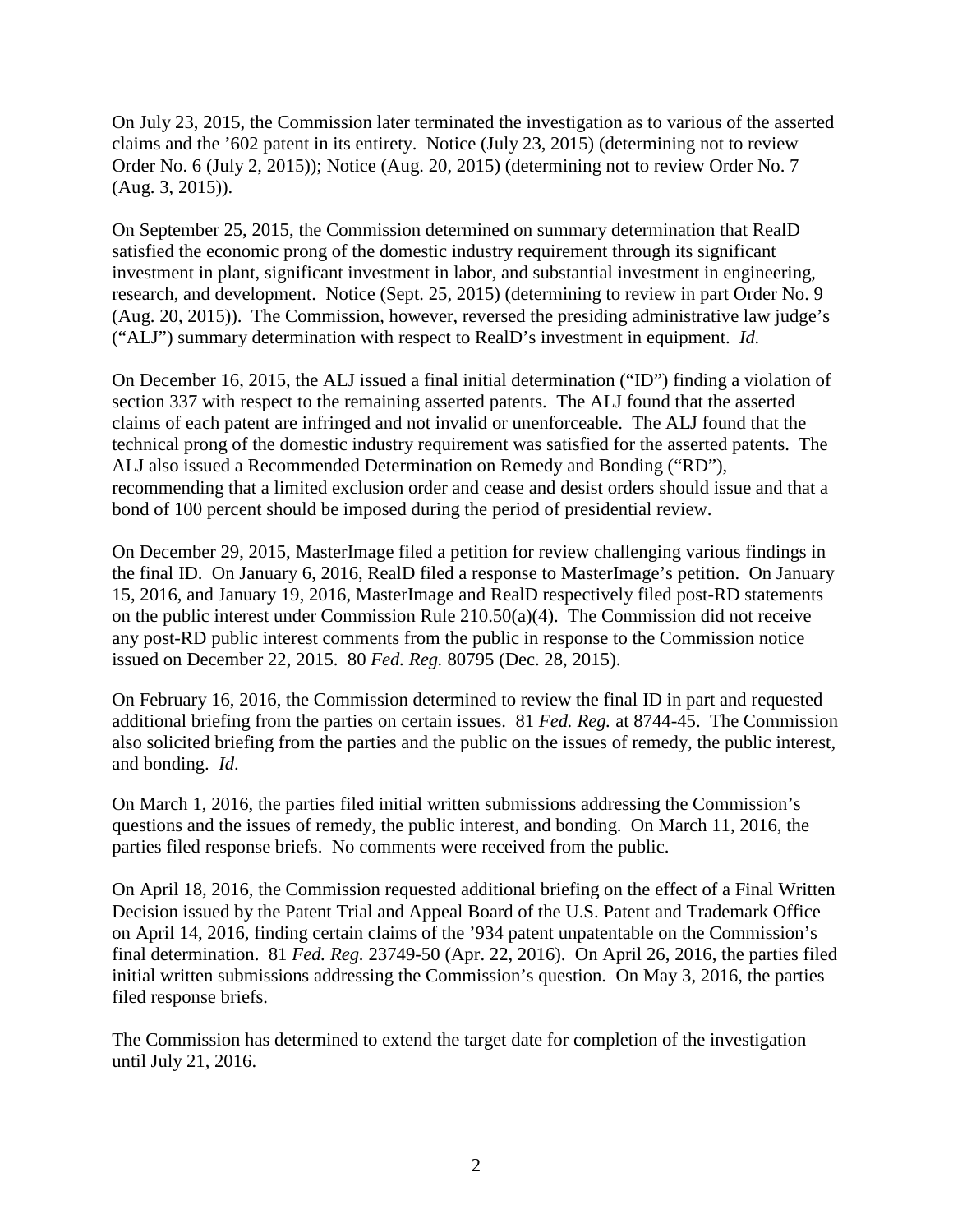On July 23, 2015, the Commission later terminated the investigation as to various of the asserted claims and the '602 patent in its entirety. Notice (July 23, 2015) (determining not to review Order No. 6 (July 2, 2015)); Notice (Aug. 20, 2015) (determining not to review Order No. 7 (Aug. 3, 2015)).

On September 25, 2015, the Commission determined on summary determination that RealD satisfied the economic prong of the domestic industry requirement through its significant investment in plant, significant investment in labor, and substantial investment in engineering, research, and development. Notice (Sept. 25, 2015) (determining to review in part Order No. 9 (Aug. 20, 2015)). The Commission, however, reversed the presiding administrative law judge's ("ALJ") summary determination with respect to RealD's investment in equipment. *Id.*

On December 16, 2015, the ALJ issued a final initial determination ("ID") finding a violation of section 337 with respect to the remaining asserted patents. The ALJ found that the asserted claims of each patent are infringed and not invalid or unenforceable. The ALJ found that the technical prong of the domestic industry requirement was satisfied for the asserted patents. The ALJ also issued a Recommended Determination on Remedy and Bonding ("RD"), recommending that a limited exclusion order and cease and desist orders should issue and that a bond of 100 percent should be imposed during the period of presidential review.

On December 29, 2015, MasterImage filed a petition for review challenging various findings in the final ID. On January 6, 2016, RealD filed a response to MasterImage's petition. On January 15, 2016, and January 19, 2016, MasterImage and RealD respectively filed post-RD statements on the public interest under Commission Rule 210.50(a)(4). The Commission did not receive any post-RD public interest comments from the public in response to the Commission notice issued on December 22, 2015. 80 *Fed. Reg.* 80795 (Dec. 28, 2015).

On February 16, 2016, the Commission determined to review the final ID in part and requested additional briefing from the parties on certain issues. 81 *Fed. Reg.* at 8744-45. The Commission also solicited briefing from the parties and the public on the issues of remedy, the public interest, and bonding. *Id*.

On March 1, 2016, the parties filed initial written submissions addressing the Commission's questions and the issues of remedy, the public interest, and bonding. On March 11, 2016, the parties filed response briefs. No comments were received from the public.

On April 18, 2016, the Commission requested additional briefing on the effect of a Final Written Decision issued by the Patent Trial and Appeal Board of the U.S. Patent and Trademark Office on April 14, 2016, finding certain claims of the '934 patent unpatentable on the Commission's final determination. 81 *Fed. Reg.* 23749-50 (Apr. 22, 2016). On April 26, 2016, the parties filed initial written submissions addressing the Commission's question. On May 3, 2016, the parties filed response briefs.

The Commission has determined to extend the target date for completion of the investigation until July 21, 2016.